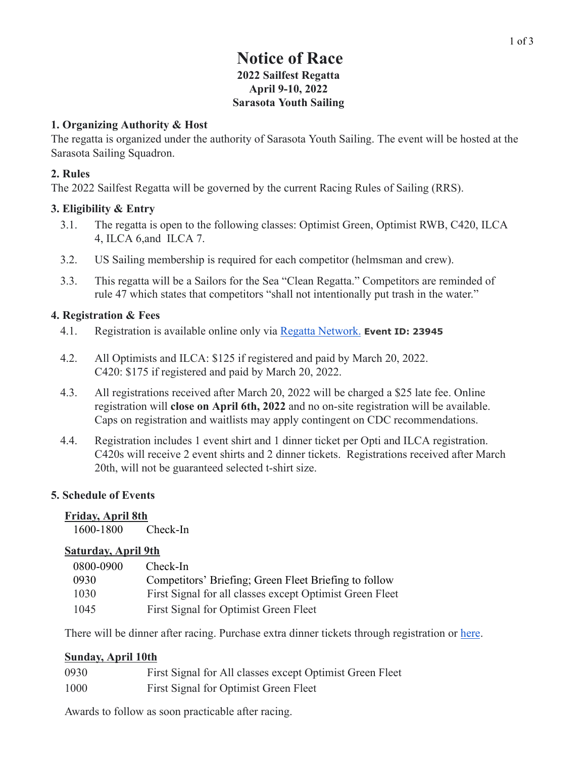# **Notice of Race 2022 Sailfest Regatta April 9-10, 2022 Sarasota Youth Sailing**

#### **1. Organizing Authority & Host**

The regatta is organized under the authority of Sarasota Youth Sailing. The event will be hosted at the Sarasota Sailing Squadron.

#### **2. Rules**

The 2022 Sailfest Regatta will be governed by the current Racing Rules of Sailing (RRS).

#### **3. Eligibility & Entry**

- 3.1. The regatta is open to the following classes: Optimist Green, Optimist RWB, C420, ILCA 4, ILCA 6,and ILCA 7.
- 3.2. US Sailing membership is required for each competitor (helmsman and crew).
- 3.3. This regatta will be a Sailors for the Sea "Clean Regatta." Competitors are reminded of rule 47 which states that competitors "shall not intentionally put trash in the water."

#### **4. Registration & Fees**

- 4.1. Registration is available online only via Regatta [Network.](https://www.regattanetwork.com/event/23945) **Event ID: 23945**
- 4.2. All Optimists and ILCA: \$125 if registered and paid by March 20, 2022. C420: \$175 if registered and paid by March 20, 2022.
- 4.3. All registrations received after March 20, 2022 will be charged a \$25 late fee. Online registration will **close on April 6th, 2022** and no on-site registration will be available. Caps on registration and waitlists may apply contingent on CDC recommendations.
- 4.4. Registration includes 1 event shirt and 1 dinner ticket per Opti and ILCA registration. C420s will receive 2 event shirts and 2 dinner tickets. Registrations received after March 20th, will not be guaranteed selected t-shirt size.

### **5. Schedule of Events**

#### **Friday, April 8th**

1600-1800 Check-In

#### **Saturday, April 9th**

| 0800-0900 | Check-In                                                 |
|-----------|----------------------------------------------------------|
| 0930      | Competitors' Briefing; Green Fleet Briefing to follow    |
| 1030      | First Signal for all classes except Optimist Green Fleet |
| 1045      | First Signal for Optimist Green Fleet                    |

There will be dinner after racing. Purchase extra dinner tickets through registration or [here.](https://www.regattanetwork.com/clubmgmt/applet_storefront.php?regatta_id=23945&clear_session=1)

### **Sunday, April 10th**

| 0930 | First Signal for All classes except Optimist Green Fleet |
|------|----------------------------------------------------------|
| 1000 | First Signal for Optimist Green Fleet                    |

Awards to follow as soon practicable after racing.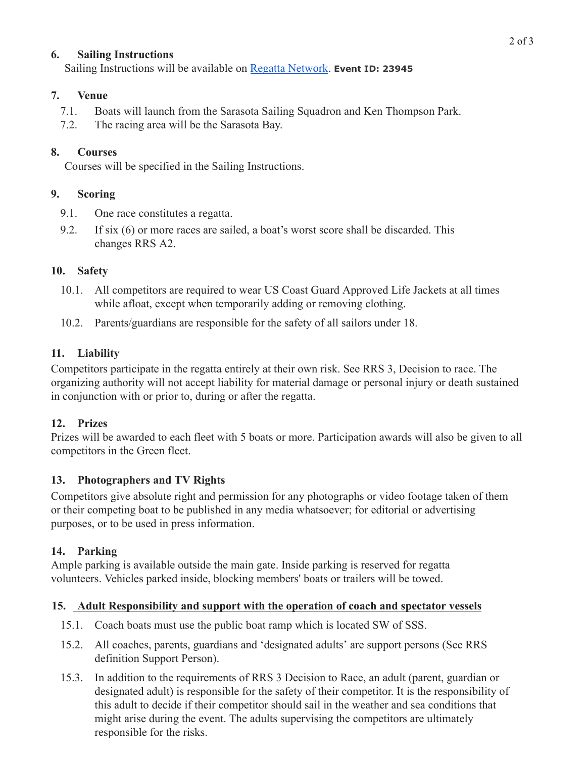## **6. Sailing Instructions**

Sailing Instructions will be available on Regatta [Network](https://www.regattanetwork.com/event/23945#_home). **Event ID: 23945**

### **7. Venue**

- 7.1. Boats will launch from the Sarasota Sailing Squadron and Ken Thompson Park.
- 7.2. The racing area will be the Sarasota Bay.

## **8. Courses**

Courses will be specified in the Sailing Instructions.

## **9. Scoring**

- 9.1. One race constitutes a regatta.
- 9.2. If six (6) or more races are sailed, a boat's worst score shall be discarded. This changes RRS A2.

## **10. Safety**

- 10.1. All competitors are required to wear US Coast Guard Approved Life Jackets at all times while afloat, except when temporarily adding or removing clothing.
- 10.2. Parents/guardians are responsible for the safety of all sailors under 18.

# **11. Liability**

Competitors participate in the regatta entirely at their own risk. See RRS 3, Decision to race. The organizing authority will not accept liability for material damage or personal injury or death sustained in conjunction with or prior to, during or after the regatta.

# **12. Prizes**

Prizes will be awarded to each fleet with 5 boats or more. Participation awards will also be given to all competitors in the Green fleet.

# **13. Photographers and TV Rights**

Competitors give absolute right and permission for any photographs or video footage taken of them or their competing boat to be published in any media whatsoever; for editorial or advertising purposes, or to be used in press information.

### **14. Parking**

Ample parking is available outside the main gate. Inside parking is reserved for regatta volunteers. Vehicles parked inside, blocking members' boats or trailers will be towed.

### **15. Adult Responsibility and support with the operation of coach and spectator vessels**

- 15.1. Coach boats must use the public boat ramp which is located SW of SSS.
- 15.2. All coaches, parents, guardians and 'designated adults' are support persons (See RRS definition Support Person).
- 15.3. In addition to the requirements of RRS 3 Decision to Race, an adult (parent, guardian or designated adult) is responsible for the safety of their competitor. It is the responsibility of this adult to decide if their competitor should sail in the weather and sea conditions that might arise during the event. The adults supervising the competitors are ultimately responsible for the risks.